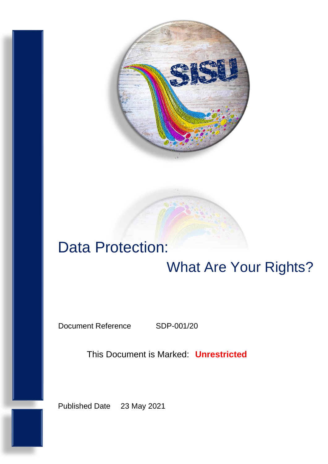

# Data Protection: What Are Your Rights?

Document Reference SDP-001/20

This Document is Marked: **Unrestricted**

Published Date 23 May 2021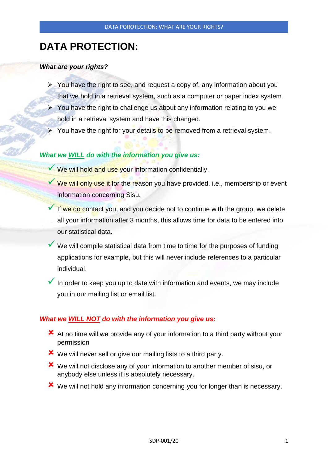# **DATA PROTECTION:**

### *What are your rights?*

- ➢ You have the right to see, and request a copy of, any information about you that we hold in a retrieval system, such as a computer or paper index system.
- $\triangleright$  You have the right to challenge us about any information relating to you we hold in a retrieval system and have this changed.
- You have the right for your details to be removed from a retrieval system.

# *What we WILL do with the information you give us:*

- ◆ We will hold and use your information confidentially.
- ◆ We will only use it for the reason you have provided. i.e., membership or event information concerning Sisu.
- If we do contact you, and you decide not to continue with the group, we delete all your information after 3 months, this allows time for data to be entered into our statistical data.
- We will compile statistical data from time to time for the purposes of funding applications for example, but this will never include references to a particular individual.
- $\checkmark$  In order to keep you up to date with information and events, we may include you in our mailing list or email list.

# *What we WILL NOT do with the information you give us:*

- At no time will we provide any of your information to a third party without your permission
- We will never sell or give our mailing lists to a third party.
- We will not disclose any of your information to another member of sisu, or anybody else unless it is absolutely necessary.
- We will not hold any information concerning you for longer than is necessary.